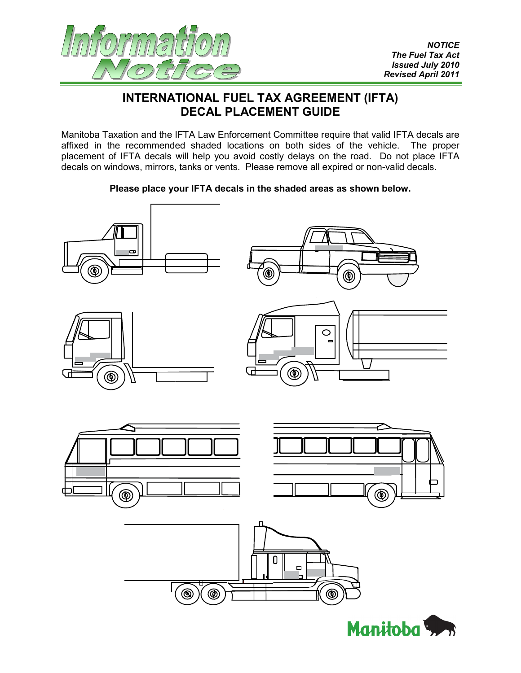

## **INTERNATIONAL FUEL TAX AGREEMENT (IFTA) DECAL PLACEMENT GUIDE**

Manitoba Taxation and the IFTA Law Enforcement Committee require that valid IFTA decals are affixed in the recommended shaded locations on both sides of the vehicle. The proper placement of IFTA decals will help you avoid costly delays on the road. Do not place IFTA decals on windows, mirrors, tanks or vents. Please remove all expired or non-valid decals.

## **Please place your IFTA decals in the shaded areas as shown below.**